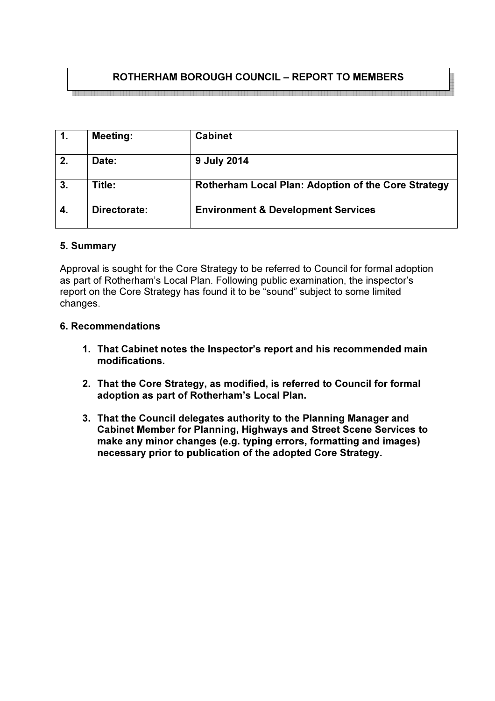# ROTHERHAM BOROUGH COUNCIL – REPORT TO MEMBERS

.<br>Kaana ahaan ahaan ahaan ahaan ahaan ahaan ahaan ahaan ahaan ahaan ahaan ahaan ahaan ahaan ahaan ahaan ahaan ah

| $\mathbf{1}$ . | <b>Meeting:</b> | <b>Cabinet</b>                                             |
|----------------|-----------------|------------------------------------------------------------|
| 2.             | <b>Date:</b>    | 9 July 2014                                                |
| 3.             | Title:          | <b>Rotherham Local Plan: Adoption of the Core Strategy</b> |
| 4.             | Directorate:    | <b>Environment &amp; Development Services</b>              |

#### 5. Summary

Approval is sought for the Core Strategy to be referred to Council for formal adoption as part of Rotherham's Local Plan. Following public examination, the inspector's report on the Core Strategy has found it to be "sound" subject to some limited changes.

#### 6. Recommendations

- 1. That Cabinet notes the Inspector's report and his recommended main modifications.
- 2. That the Core Strategy, as modified, is referred to Council for formal adoption as part of Rotherham's Local Plan.
- 3. That the Council delegates authority to the Planning Manager and Cabinet Member for Planning, Highways and Street Scene Services to make any minor changes (e.g. typing errors, formatting and images) necessary prior to publication of the adopted Core Strategy.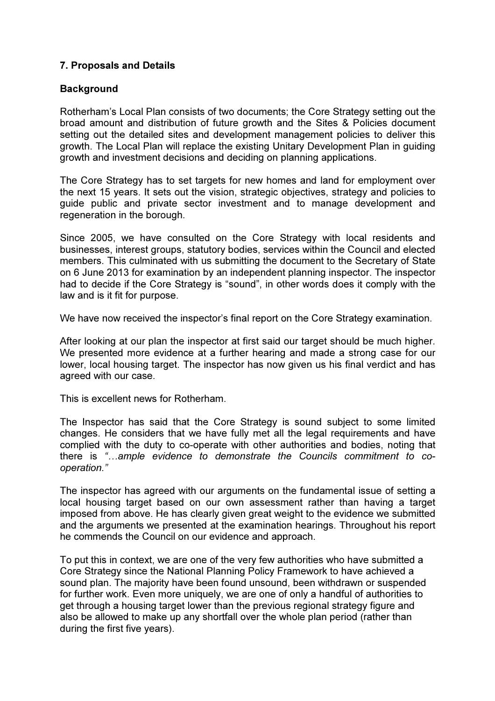## 7. Proposals and Details

### **Background**

Rotherham's Local Plan consists of two documents; the Core Strategy setting out the broad amount and distribution of future growth and the Sites & Policies document setting out the detailed sites and development management policies to deliver this growth. The Local Plan will replace the existing Unitary Development Plan in guiding growth and investment decisions and deciding on planning applications.

The Core Strategy has to set targets for new homes and land for employment over the next 15 years. It sets out the vision, strategic objectives, strategy and policies to guide public and private sector investment and to manage development and regeneration in the borough.

Since 2005, we have consulted on the Core Strategy with local residents and businesses, interest groups, statutory bodies, services within the Council and elected members. This culminated with us submitting the document to the Secretary of State on 6 June 2013 for examination by an independent planning inspector. The inspector had to decide if the Core Strategy is "sound", in other words does it comply with the law and is it fit for purpose.

We have now received the inspector's final report on the Core Strategy examination.

After looking at our plan the inspector at first said our target should be much higher. We presented more evidence at a further hearing and made a strong case for our lower, local housing target. The inspector has now given us his final verdict and has agreed with our case.

This is excellent news for Rotherham.

The Inspector has said that the Core Strategy is sound subject to some limited changes. He considers that we have fully met all the legal requirements and have complied with the duty to co-operate with other authorities and bodies, noting that there is "…ample evidence to demonstrate the Councils commitment to cooperation."

The inspector has agreed with our arguments on the fundamental issue of setting a local housing target based on our own assessment rather than having a target imposed from above. He has clearly given great weight to the evidence we submitted and the arguments we presented at the examination hearings. Throughout his report he commends the Council on our evidence and approach.

To put this in context, we are one of the very few authorities who have submitted a Core Strategy since the National Planning Policy Framework to have achieved a sound plan. The majority have been found unsound, been withdrawn or suspended for further work. Even more uniquely, we are one of only a handful of authorities to get through a housing target lower than the previous regional strategy figure and also be allowed to make up any shortfall over the whole plan period (rather than during the first five years).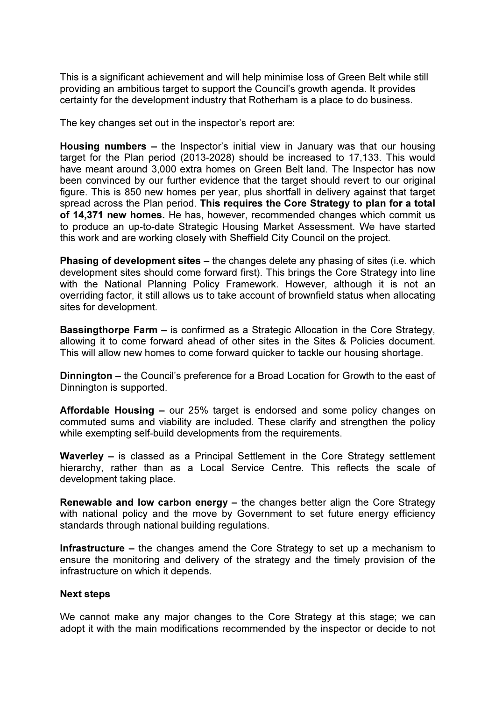This is a significant achievement and will help minimise loss of Green Belt while still providing an ambitious target to support the Council's growth agenda. It provides certainty for the development industry that Rotherham is a place to do business.

The key changes set out in the inspector's report are:

Housing numbers – the Inspector's initial view in January was that our housing target for the Plan period (2013-2028) should be increased to 17,133. This would have meant around 3,000 extra homes on Green Belt land. The Inspector has now been convinced by our further evidence that the target should revert to our original figure. This is 850 new homes per year, plus shortfall in delivery against that target spread across the Plan period. This requires the Core Strategy to plan for a total of 14,371 new homes. He has, however, recommended changes which commit us to produce an up-to-date Strategic Housing Market Assessment. We have started this work and are working closely with Sheffield City Council on the project.

Phasing of development sites – the changes delete any phasing of sites (i.e. which development sites should come forward first). This brings the Core Strategy into line with the National Planning Policy Framework. However, although it is not an overriding factor, it still allows us to take account of brownfield status when allocating sites for development.

Bassingthorpe Farm – is confirmed as a Strategic Allocation in the Core Strategy, allowing it to come forward ahead of other sites in the Sites & Policies document. This will allow new homes to come forward quicker to tackle our housing shortage.

Dinnington – the Council's preference for a Broad Location for Growth to the east of Dinnington is supported.

Affordable Housing – our 25% target is endorsed and some policy changes on commuted sums and viability are included. These clarify and strengthen the policy while exempting self-build developments from the requirements.

Waverley – is classed as a Principal Settlement in the Core Strategy settlement hierarchy, rather than as a Local Service Centre. This reflects the scale of development taking place.

Renewable and low carbon energy – the changes better align the Core Strategy with national policy and the move by Government to set future energy efficiency standards through national building regulations.

Infrastructure – the changes amend the Core Strategy to set up a mechanism to ensure the monitoring and delivery of the strategy and the timely provision of the infrastructure on which it depends.

#### Next steps

We cannot make any major changes to the Core Strategy at this stage; we can adopt it with the main modifications recommended by the inspector or decide to not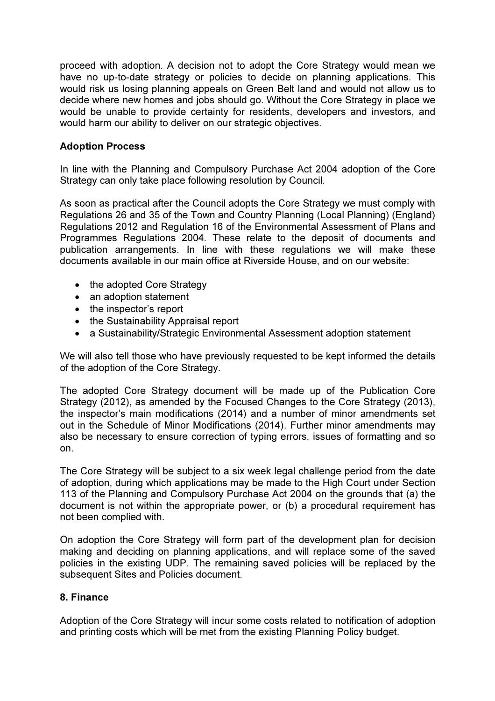proceed with adoption. A decision not to adopt the Core Strategy would mean we have no up-to-date strategy or policies to decide on planning applications. This would risk us losing planning appeals on Green Belt land and would not allow us to decide where new homes and jobs should go. Without the Core Strategy in place we would be unable to provide certainty for residents, developers and investors, and would harm our ability to deliver on our strategic objectives.

## Adoption Process

In line with the Planning and Compulsory Purchase Act 2004 adoption of the Core Strategy can only take place following resolution by Council.

As soon as practical after the Council adopts the Core Strategy we must comply with Regulations 26 and 35 of the Town and Country Planning (Local Planning) (England) Regulations 2012 and Regulation 16 of the Environmental Assessment of Plans and Programmes Regulations 2004. These relate to the deposit of documents and publication arrangements. In line with these regulations we will make these documents available in our main office at Riverside House, and on our website:

- the adopted Core Strategy
- an adoption statement
- the inspector's report
- the Sustainability Appraisal report
- a Sustainability/Strategic Environmental Assessment adoption statement

We will also tell those who have previously requested to be kept informed the details of the adoption of the Core Strategy.

The adopted Core Strategy document will be made up of the Publication Core Strategy (2012), as amended by the Focused Changes to the Core Strategy (2013), the inspector's main modifications (2014) and a number of minor amendments set out in the Schedule of Minor Modifications (2014). Further minor amendments may also be necessary to ensure correction of typing errors, issues of formatting and so on.

The Core Strategy will be subject to a six week legal challenge period from the date of adoption, during which applications may be made to the High Court under Section 113 of the Planning and Compulsory Purchase Act 2004 on the grounds that (a) the document is not within the appropriate power, or (b) a procedural requirement has not been complied with.

On adoption the Core Strategy will form part of the development plan for decision making and deciding on planning applications, and will replace some of the saved policies in the existing UDP. The remaining saved policies will be replaced by the subsequent Sites and Policies document.

### 8. Finance

Adoption of the Core Strategy will incur some costs related to notification of adoption and printing costs which will be met from the existing Planning Policy budget.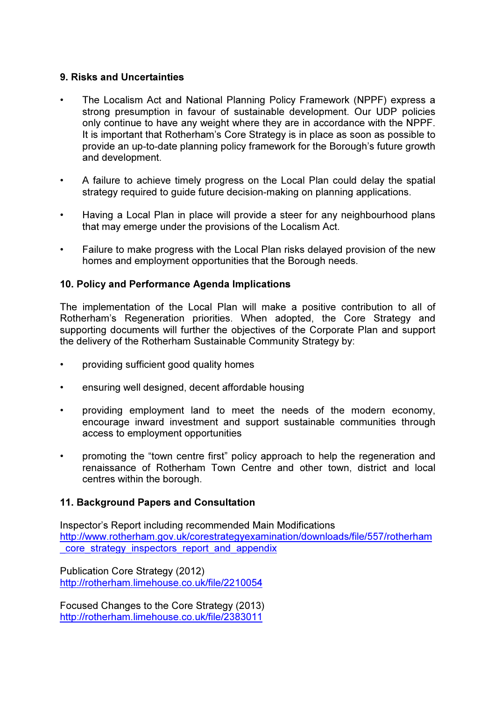### 9. Risks and Uncertainties

- The Localism Act and National Planning Policy Framework (NPPF) express a strong presumption in favour of sustainable development. Our UDP policies only continue to have any weight where they are in accordance with the NPPF. It is important that Rotherham's Core Strategy is in place as soon as possible to provide an up-to-date planning policy framework for the Borough's future growth and development.
- A failure to achieve timely progress on the Local Plan could delay the spatial strategy required to guide future decision-making on planning applications.
- Having a Local Plan in place will provide a steer for any neighbourhood plans that may emerge under the provisions of the Localism Act.
- Failure to make progress with the Local Plan risks delayed provision of the new homes and employment opportunities that the Borough needs.

### 10. Policy and Performance Agenda Implications

The implementation of the Local Plan will make a positive contribution to all of Rotherham's Regeneration priorities. When adopted, the Core Strategy and supporting documents will further the objectives of the Corporate Plan and support the delivery of the Rotherham Sustainable Community Strategy by:

- providing sufficient good quality homes
- ensuring well designed, decent affordable housing
- providing employment land to meet the needs of the modern economy, encourage inward investment and support sustainable communities through access to employment opportunities
- promoting the "town centre first" policy approach to help the regeneration and renaissance of Rotherham Town Centre and other town, district and local centres within the borough.

### 11. Background Papers and Consultation

Inspector's Report including recommended Main Modifications http://www.rotherham.gov.uk/corestrategyexamination/downloads/file/557/rotherham core strategy inspectors report and appendix

Publication Core Strategy (2012) http://rotherham.limehouse.co.uk/file/2210054

Focused Changes to the Core Strategy (2013) http://rotherham.limehouse.co.uk/file/2383011